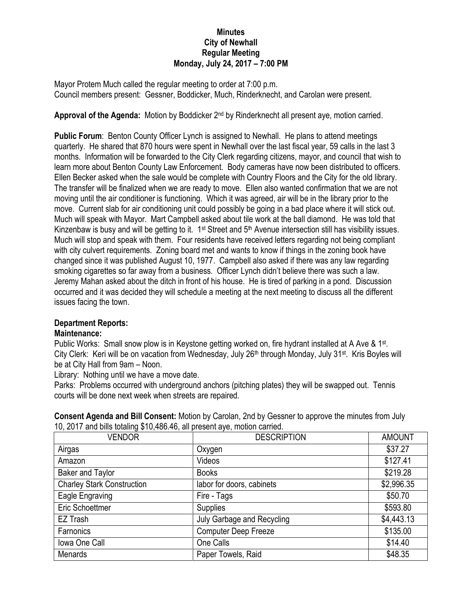## **Minutes City of Newhall Regular Meeting Monday, July 24, 2017 – 7:00 PM**

Mayor Protem Much called the regular meeting to order at 7:00 p.m. Council members present: Gessner, Boddicker, Much, Rinderknecht, and Carolan were present.

Approval of the Agenda: Motion by Boddicker 2<sup>nd</sup> by Rinderknecht all present aye, motion carried.

**Public Forum**: Benton County Officer Lynch is assigned to Newhall. He plans to attend meetings quarterly. He shared that 870 hours were spent in Newhall over the last fiscal year, 59 calls in the last 3 months. Information will be forwarded to the City Clerk regarding citizens, mayor, and council that wish to learn more about Benton County Law Enforcement. Body cameras have now been distributed to officers. Ellen Becker asked when the sale would be complete with Country Floors and the City for the old library. The transfer will be finalized when we are ready to move. Ellen also wanted confirmation that we are not moving until the air conditioner is functioning. Which it was agreed, air will be in the library prior to the move. Current slab for air conditioning unit could possibly be going in a bad place where it will stick out. Much will speak with Mayor. Mart Campbell asked about tile work at the ball diamond. He was told that Kinzenbaw is busy and will be getting to it.  $1$ <sup>st</sup> Street and  $5<sup>th</sup>$  Avenue intersection still has visibility issues. Much will stop and speak with them. Four residents have received letters regarding not being compliant with city culvert requirements. Zoning board met and wants to know if things in the zoning book have changed since it was published August 10, 1977. Campbell also asked if there was any law regarding smoking cigarettes so far away from a business. Officer Lynch didn't believe there was such a law. Jeremy Mahan asked about the ditch in front of his house. He is tired of parking in a pond. Discussion occurred and it was decided they will schedule a meeting at the next meeting to discuss all the different issues facing the town.

## **Department Reports:**

## **Maintenance:**

Public Works: Small snow plow is in Keystone getting worked on, fire hydrant installed at A Ave & 1<sup>st</sup>. City Clerk: Keri will be on vacation from Wednesday, July 26<sup>th</sup> through Monday, July 31<sup>st</sup>. Kris Boyles will be at City Hall from 9am – Noon.

Library: Nothing until we have a move date.

Parks: Problems occurred with underground anchors (pitching plates) they will be swapped out. Tennis courts will be done next week when streets are repaired.

**Consent Agenda and Bill Consent:** Motion by Carolan, 2nd by Gessner to approve the minutes from July 10, 2017 and bills totaling \$10,486.46, all present aye, motion carried.

| <b>VENDOR</b>                     | <b>DESCRIPTION</b>          | <b>AMOUNT</b> |
|-----------------------------------|-----------------------------|---------------|
| Airgas                            | Oxygen                      | \$37.27       |
| Amazon                            | Videos                      | \$127.41      |
| <b>Baker and Taylor</b>           | <b>Books</b>                | \$219.28      |
| <b>Charley Stark Construction</b> | labor for doors, cabinets   | \$2,996.35    |
| Eagle Engraving                   | Fire - Tags                 | \$50.70       |
| Eric Schoettmer                   | <b>Supplies</b>             | \$593.80      |
| EZ Trash                          | July Garbage and Recycling  | \$4,443.13    |
| Farnonics                         | <b>Computer Deep Freeze</b> | \$135.00      |
| Iowa One Call                     | One Calls                   | \$14.40       |
| <b>Menards</b>                    | Paper Towels, Raid          | \$48.35       |